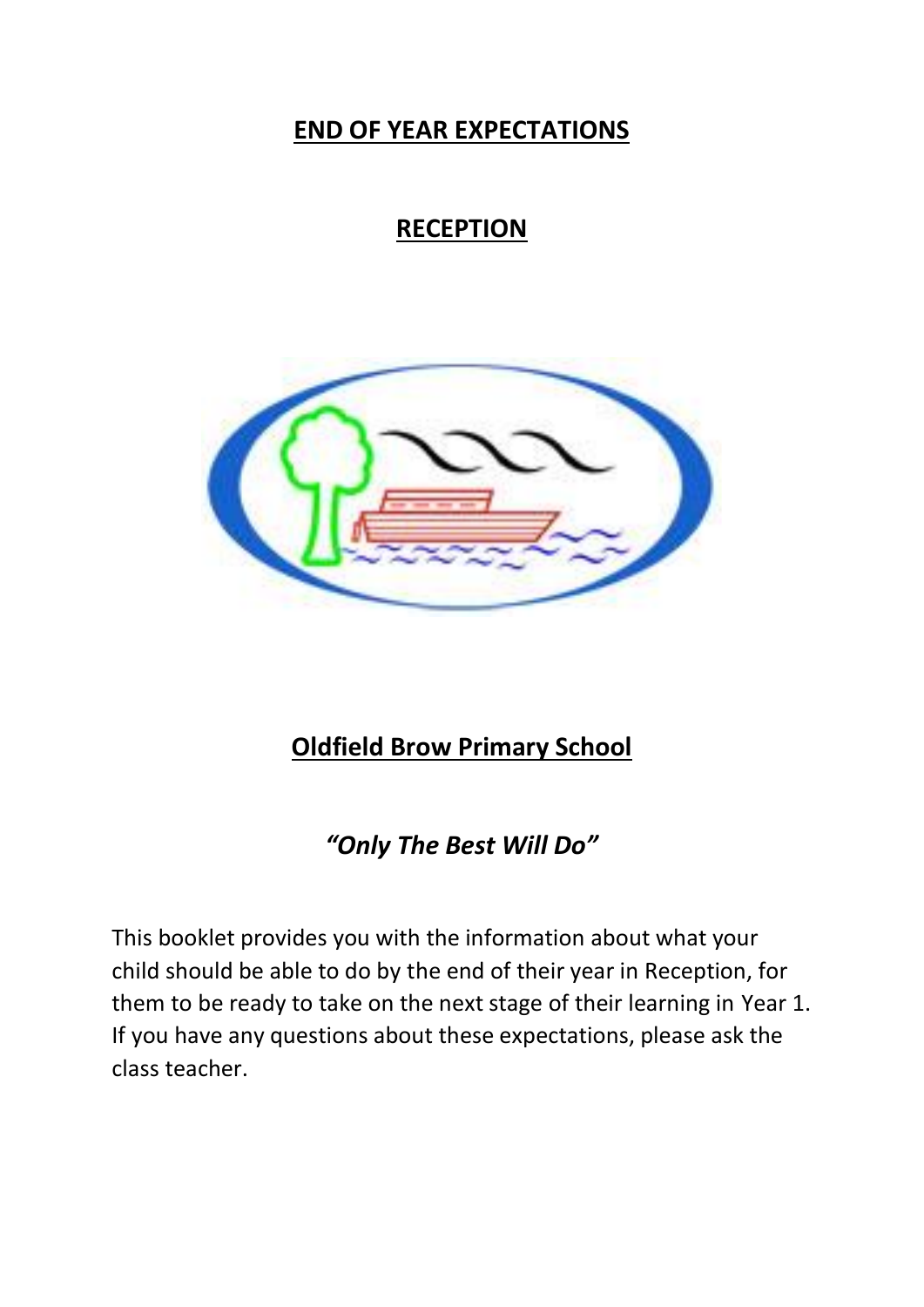## **END OF YEAR EXPECTATIONS**

# **RECEPTION**



## **Oldfield Brow Primary School**

*"Only The Best Will Do"*

This booklet provides you with the information about what your child should be able to do by the end of their year in Reception, for them to be ready to take on the next stage of their learning in Year 1. If you have any questions about these expectations, please ask the class teacher.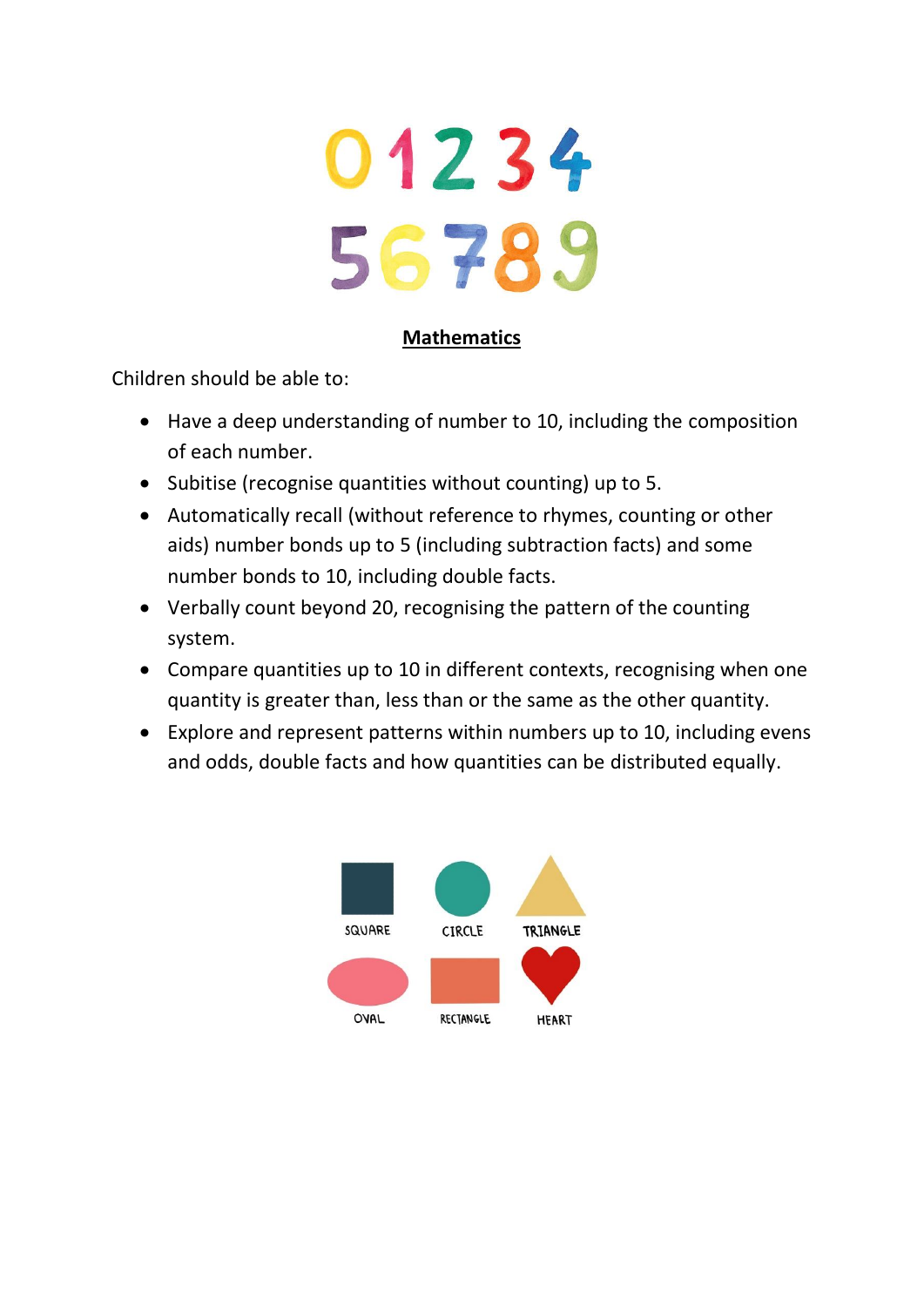

#### **Mathematics**

- Have a deep understanding of number to 10, including the composition of each number.
- Subitise (recognise quantities without counting) up to 5.
- Automatically recall (without reference to rhymes, counting or other aids) number bonds up to 5 (including subtraction facts) and some number bonds to 10, including double facts.
- Verbally count beyond 20, recognising the pattern of the counting system.
- Compare quantities up to 10 in different contexts, recognising when one quantity is greater than, less than or the same as the other quantity.
- Explore and represent patterns within numbers up to 10, including evens and odds, double facts and how quantities can be distributed equally.

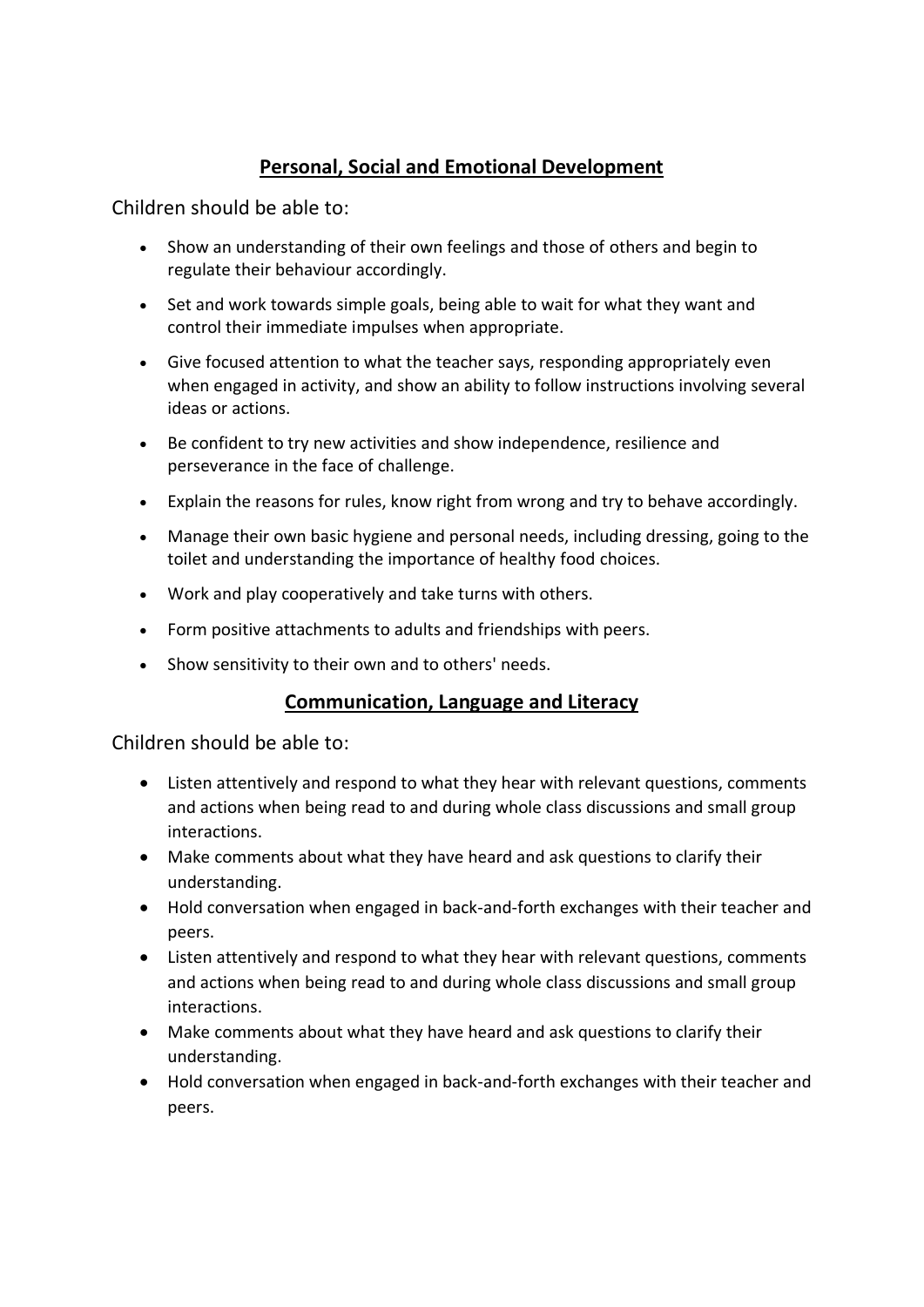#### **Personal, Social and Emotional Development**

Children should be able to:

- Show an understanding of their own feelings and those of others and begin to regulate their behaviour accordingly.
- Set and work towards simple goals, being able to wait for what they want and control their immediate impulses when appropriate.
- Give focused attention to what the teacher says, responding appropriately even when engaged in activity, and show an ability to follow instructions involving several ideas or actions.
- Be confident to try new activities and show independence, resilience and perseverance in the face of challenge.
- Explain the reasons for rules, know right from wrong and try to behave accordingly.
- Manage their own basic hygiene and personal needs, including dressing, going to the toilet and understanding the importance of healthy food choices.
- Work and play cooperatively and take turns with others.
- Form positive attachments to adults and friendships with peers.
- Show sensitivity to their own and to others' needs.

#### **Communication, Language and Literacy**

- Listen attentively and respond to what they hear with relevant questions, comments and actions when being read to and during whole class discussions and small group interactions.
- Make comments about what they have heard and ask questions to clarify their understanding.
- Hold conversation when engaged in back-and-forth exchanges with their teacher and peers.
- Listen attentively and respond to what they hear with relevant questions, comments and actions when being read to and during whole class discussions and small group interactions.
- Make comments about what they have heard and ask questions to clarify their understanding.
- Hold conversation when engaged in back-and-forth exchanges with their teacher and peers.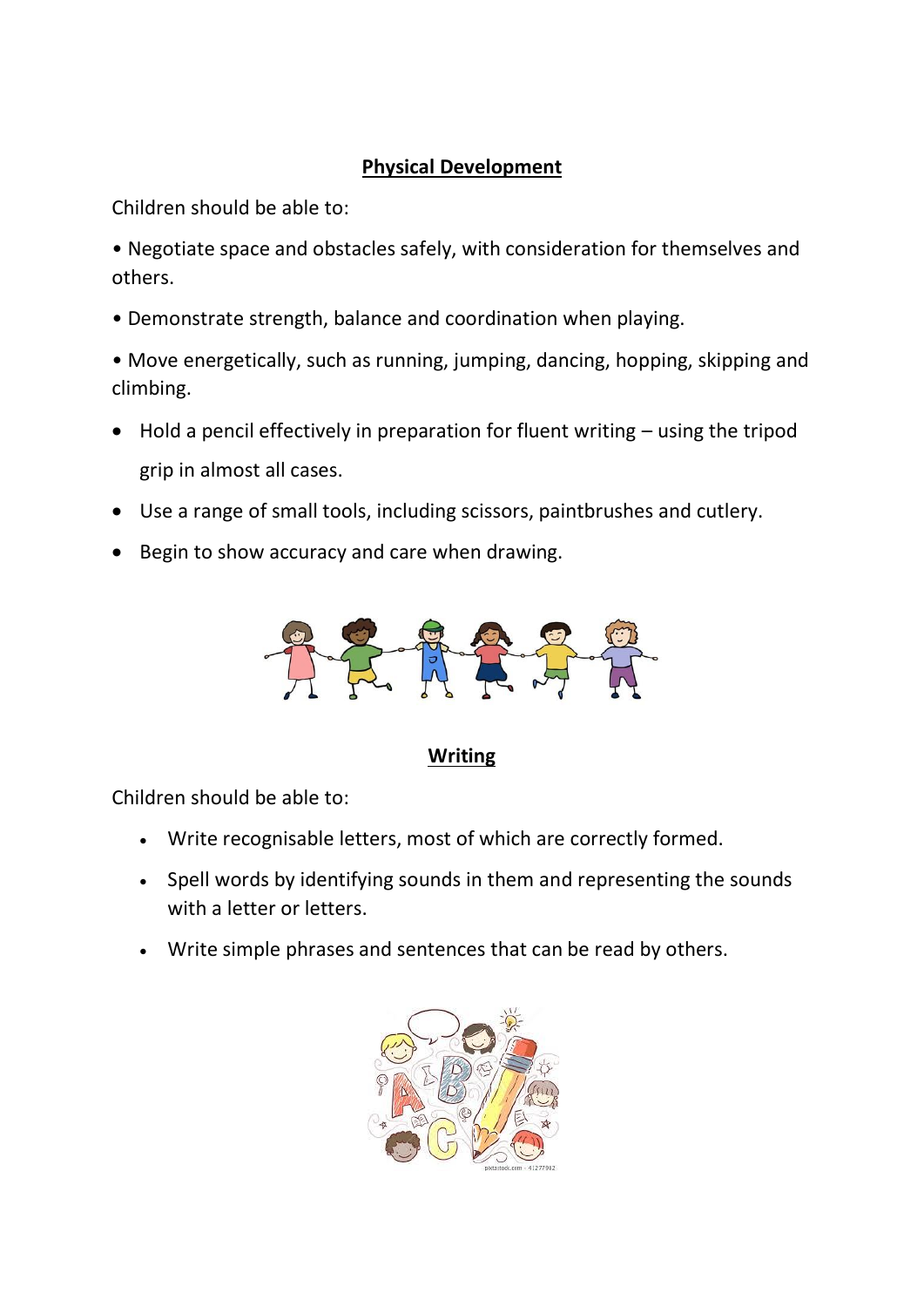### **Physical Development**

Children should be able to:

- Negotiate space and obstacles safely, with consideration for themselves and others.
- Demonstrate strength, balance and coordination when playing.
- Move energetically, such as running, jumping, dancing, hopping, skipping and climbing.
- Hold a pencil effectively in preparation for fluent writing using the tripod grip in almost all cases.
- Use a range of small tools, including scissors, paintbrushes and cutlery.
- Begin to show accuracy and care when drawing.



**Writing**

- Write recognisable letters, most of which are correctly formed.
- Spell words by identifying sounds in them and representing the sounds with a letter or letters.
- Write simple phrases and sentences that can be read by others.